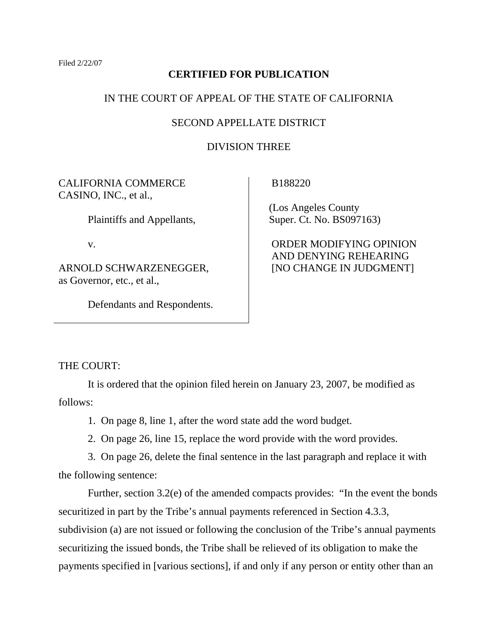Filed 2/22/07

## **CERTIFIED FOR PUBLICATION**

## IN THE COURT OF APPEAL OF THE STATE OF CALIFORNIA

## SECOND APPELLATE DISTRICT

## DIVISION THREE

CALIFORNIA COMMERCE CASINO, INC., et al.,

Plaintiffs and Appellants,

v.

ARNOLD SCHWARZENEGGER, as Governor, etc., et al.,

Defendants and Respondents.

B188220

 (Los Angeles County Super. Ct. No. BS097163)

 ORDER MODIFYING OPINION AND DENYING REHEARING [NO CHANGE IN JUDGMENT]

THE COURT:

 It is ordered that the opinion filed herein on January 23, 2007, be modified as follows:

1. On page 8, line 1, after the word state add the word budget.

2. On page 26, line 15, replace the word provide with the word provides.

 3. On page 26, delete the final sentence in the last paragraph and replace it with the following sentence:

 Further, section 3.2(e) of the amended compacts provides: "In the event the bonds securitized in part by the Tribe's annual payments referenced in Section 4.3.3, subdivision (a) are not issued or following the conclusion of the Tribe's annual payments securitizing the issued bonds, the Tribe shall be relieved of its obligation to make the payments specified in [various sections], if and only if any person or entity other than an